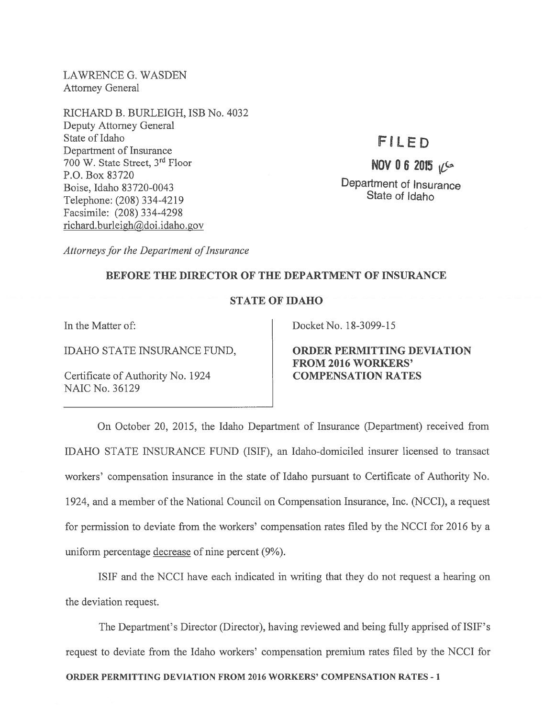LAWRENCE G. WASDEN Attorney General

RICHARD B. BURLEIGH, ISB No. 4032 Deputy Attorney General State of Idaho F I L E D Department of Insurance 700 W. State Street,  $3^{rd}$  Floor  $\overline{N}$  NOV 0 6 2015  $\sqrt{2}$ P.O. Box 83720 Boise, Idaho 83720-0043<br>
Boise, Idaho 83720-0043<br>
The CON 224 4210 Telephone: (208) 334-4219 Facsimile: (208) 334-4298 richard.burleigh@doi.idaho.gov

Attorneys for the Department of Insurance

## BEFORE THE DIRECTOR OF THE DEPARTMENT OF INSURANCE

## STATE OF IDAHO

Certificate of Authority No. 1924 **COMPENSATION RATES** NAIC No. 36129

In the Matter of: Docket No. 18-3099-15

IDAHO STATE INSURANCE FUND, ORDER PERMITTING DEVIATION FROM 2016 WORKERS'

On October 20, 2015, the Idaho Department of Insurance (Department) received from IDAHO STATE INSURANCE FUND (ISIF), an Idaho-domiciled insurer licensed to transact workers' compensation insurance in the state of Idaho pursuan<sup>t</sup> to Certificate of Authority No. 1924, and <sup>a</sup> member of the National Council on Compensation Insurance, Inc. (NCCI), <sup>a</sup> reques<sup>t</sup> for permission to deviate from the workers' compensation rates filed by the NCCI for 2016 by <sup>a</sup> uniform percentage decrease of nine percen<sup>t</sup> (9%).

ISIF and the NCCI have each indicated in writing that they do not reques<sup>t</sup> <sup>a</sup> hearing on the deviation request.

The Department's Director (Director), having reviewed and being fully apprised of ISIF's reques<sup>t</sup> to deviate from the Idaho workers' compensation premium rates filed by the NCCI for ORDER PERMITTING DEVIATION FROM 2016 WORKERS' COMPENSATION RATES -1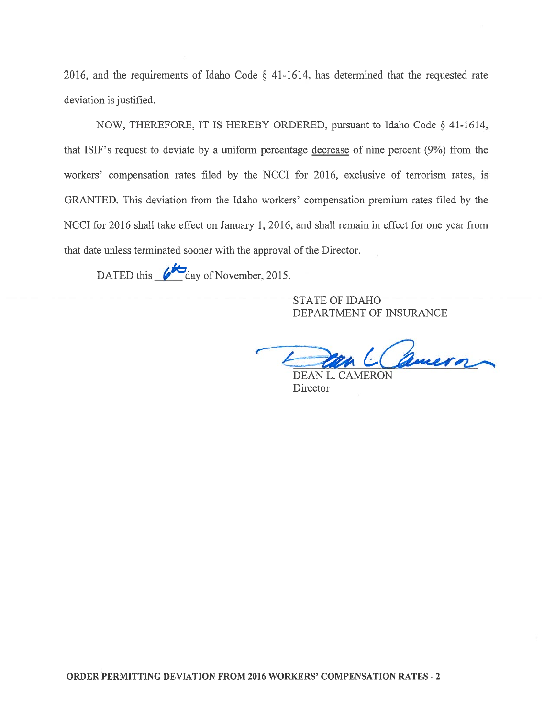2016, and the requirements of Idaho Code § 41-1614, has determined that the requested rate deviation is justified.

NOW, THEREFORE, IT IS HEREBY ORDERED, pursuan<sup>t</sup> to Idaho Code § 41-1614, that ISIF's reques<sup>t</sup> to deviate by <sup>a</sup> uniform percentage decrease of nine percen<sup>t</sup> (9%) from the workers' compensation rates filed by the NCCI for 2016, exclusive of terrorism rates, is GRANTED. This deviation from the Idaho workers' compensation premium rates filed by the NCCI for 2016 shall take effect on January 1, 2016, and shall remain in effect for one year from that date unless terminated sooner with the approval of the Director.

DATED this  $\&$  day of November, 2015.

STATE OF IDAHO DEPARTMENT OF INSURANCE

un L Camera

DEAN L. CAMERON **Director**